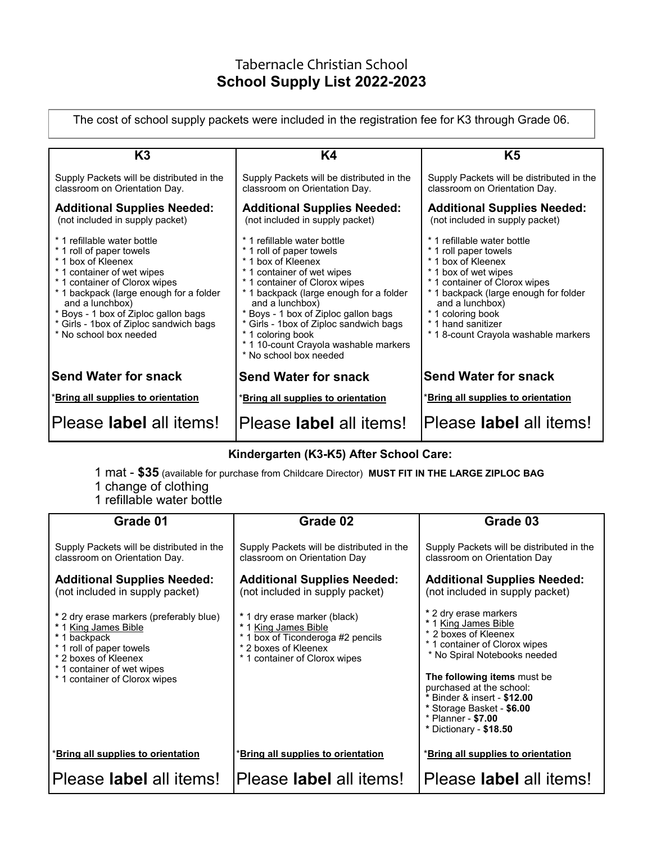## Tabernacle Christian School **School Supply List 2022-2023**

The cost of school supply packets were included in the registration fee for K3 through Grade 06.

| K <sub>3</sub>                                                                                                                                                                                                                                                                                                         | K4                                                                                                                                                                                                                                                                                                                                                                                   | K5                                                                                                                                                                                                                                                                                |  |  |
|------------------------------------------------------------------------------------------------------------------------------------------------------------------------------------------------------------------------------------------------------------------------------------------------------------------------|--------------------------------------------------------------------------------------------------------------------------------------------------------------------------------------------------------------------------------------------------------------------------------------------------------------------------------------------------------------------------------------|-----------------------------------------------------------------------------------------------------------------------------------------------------------------------------------------------------------------------------------------------------------------------------------|--|--|
| Supply Packets will be distributed in the<br>classroom on Orientation Day.                                                                                                                                                                                                                                             | Supply Packets will be distributed in the<br>classroom on Orientation Day.                                                                                                                                                                                                                                                                                                           | Supply Packets will be distributed in the<br>classroom on Orientation Day.                                                                                                                                                                                                        |  |  |
| <b>Additional Supplies Needed:</b><br>(not included in supply packet)                                                                                                                                                                                                                                                  | <b>Additional Supplies Needed:</b><br>(not included in supply packet)                                                                                                                                                                                                                                                                                                                | <b>Additional Supplies Needed:</b><br>(not included in supply packet)                                                                                                                                                                                                             |  |  |
| * 1 refillable water bottle<br>* 1 roll of paper towels<br>* 1 box of Kleenex<br>* 1 container of wet wipes<br>* 1 container of Clorox wipes<br>* 1 backpack (large enough for a folder<br>and a lunchbox)<br>* Boys - 1 box of Ziploc gallon bags<br>* Girls - 1box of Ziploc sandwich bags<br>* No school box needed | * 1 refillable water bottle<br>* 1 roll of paper towels<br>* 1 hox of Kleenex<br>* 1 container of wet wipes<br>* 1 container of Clorox wipes<br>* 1 backpack (large enough for a folder<br>and a lunchbox)<br>* Boys - 1 box of Ziploc gallon bags<br>* Girls - 1box of Ziploc sandwich bags<br>* 1 coloring book<br>* 1 10-count Crayola washable markers<br>* No school box needed | * 1 refillable water bottle<br>* 1 roll paper towels<br>* 1 box of Kleenex<br>* 1 box of wet wipes<br>* 1 container of Clorox wipes<br>* 1 backpack (large enough for folder<br>and a lunchbox)<br>* 1 coloring book<br>* 1 hand sanitizer<br>* 18-count Crayola washable markers |  |  |
| <b>Send Water for snack</b>                                                                                                                                                                                                                                                                                            | <b>Send Water for snack</b>                                                                                                                                                                                                                                                                                                                                                          | <b>Send Water for snack</b>                                                                                                                                                                                                                                                       |  |  |
| <b>*Bring all supplies to orientation</b>                                                                                                                                                                                                                                                                              | *Bring all supplies to orientation                                                                                                                                                                                                                                                                                                                                                   | *Bring all supplies to orientation                                                                                                                                                                                                                                                |  |  |
| Please label all items!                                                                                                                                                                                                                                                                                                | Please <b>label</b> all items!                                                                                                                                                                                                                                                                                                                                                       | lPlease <b>label</b> all items!                                                                                                                                                                                                                                                   |  |  |

## **Kindergarten (K3-K5) After School Care:**

- 1 mat **\$35** (available for purchase from Childcare Director) **MUST FIT IN THE LARGE ZIPLOC BAG** 1 change of clothing
- 1 refillable water bottle

| Grade 01                                                                                                                                                                                           | Grade 02                                                                                                                                           | Grade 03                                                                                                                                                                                                                                                                                                      |
|----------------------------------------------------------------------------------------------------------------------------------------------------------------------------------------------------|----------------------------------------------------------------------------------------------------------------------------------------------------|---------------------------------------------------------------------------------------------------------------------------------------------------------------------------------------------------------------------------------------------------------------------------------------------------------------|
| Supply Packets will be distributed in the<br>classroom on Orientation Day.                                                                                                                         | Supply Packets will be distributed in the<br>classroom on Orientation Day                                                                          | Supply Packets will be distributed in the<br>classroom on Orientation Day                                                                                                                                                                                                                                     |
| <b>Additional Supplies Needed:</b><br>(not included in supply packet)                                                                                                                              | <b>Additional Supplies Needed:</b><br>(not included in supply packet)                                                                              | <b>Additional Supplies Needed:</b><br>(not included in supply packet)                                                                                                                                                                                                                                         |
| * 2 dry erase markers (preferably blue)<br>* 1 King James Bible<br>* 1 backpack<br>* 1 roll of paper towels<br>* 2 boxes of Kleenex<br>* 1 container of wet wipes<br>* 1 container of Clorox wipes | * 1 dry erase marker (black)<br>* 1 King James Bible<br>* 1 box of Ticonderoga #2 pencils<br>* 2 boxes of Kleenex<br>* 1 container of Clorox wipes | * 2 dry erase markers<br>* 1 King James Bible<br>* 2 boxes of Kleenex<br>* 1 container of Clorox wipes<br>* No Spiral Notebooks needed<br>The following items must be<br>purchased at the school:<br>* Binder & insert - \$12.00<br>* Storage Basket - \$6.00<br>* Planner - \$7.00<br>* Dictionary - \$18.50 |
| *Bring all supplies to orientation                                                                                                                                                                 | *Bring all supplies to orientation                                                                                                                 | *Bring all supplies to orientation                                                                                                                                                                                                                                                                            |
| Please <b>label</b> all items!                                                                                                                                                                     | Please label all items!                                                                                                                            | Please <b>label</b> all items!                                                                                                                                                                                                                                                                                |